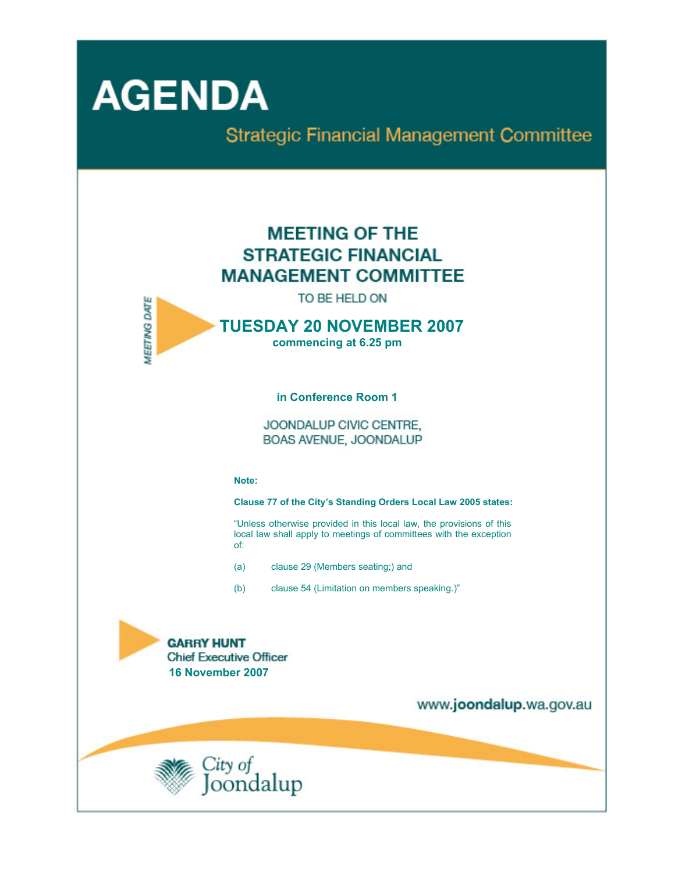

**Strategic Financial Management Committee** 

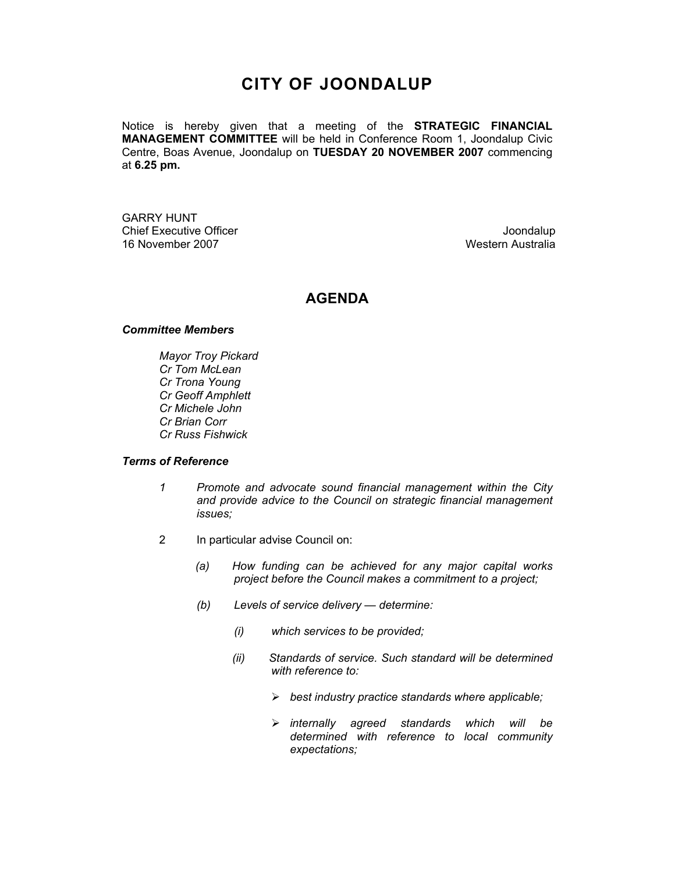# **CITY OF JOONDALUP**

Notice is hereby given that a meeting of the **STRATEGIC FINANCIAL MANAGEMENT COMMITTEE** will be held in Conference Room 1, Joondalup Civic Centre, Boas Avenue, Joondalup on **TUESDAY 20 NOVEMBER 2007** commencing at **6.25 pm.** 

GARRY HUNT Chief Executive Officer **Chief Executive Officer** Joondalup 16 November 2007 Western Australia

## **AGENDA**

### *Committee Members*

*Mayor Troy Pickard Cr Tom McLean Cr Trona Young Cr Geoff Amphlett Cr Michele John Cr Brian Corr Cr Russ Fishwick* 

## *Terms of Reference*

- *1 Promote and advocate sound financial management within the City and provide advice to the Council on strategic financial management issues;*
- 2 In particular advise Council on:
	- *(a) How funding can be achieved for any major capital works project before the Council makes a commitment to a project;*
	- *(b) Levels of service delivery determine:* 
		- *(i) which services to be provided;*
		- *(ii) Standards of service. Such standard will be determined with reference to:* 
			- ¾ *best industry practice standards where applicable;*
			- ¾ *internally agreed standards which will be determined with reference to local community expectations;*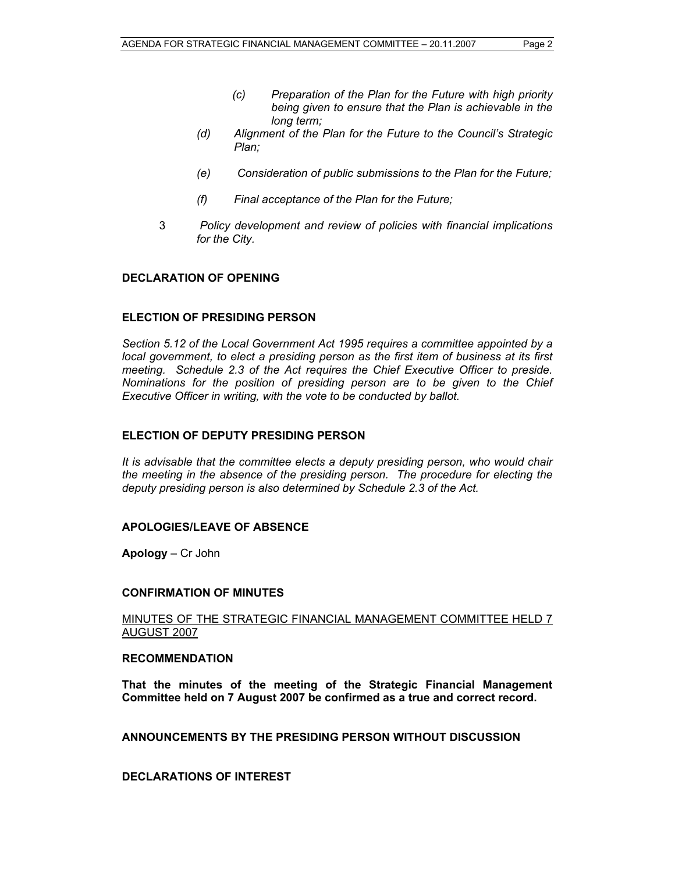- *(c) Preparation of the Plan for the Future with high priority being given to ensure that the Plan is achievable in the long term;*
- *(d) Alignment of the Plan for the Future to the Council's Strategic Plan;*
- *(e) Consideration of public submissions to the Plan for the Future;*
- *(f) Final acceptance of the Plan for the Future;*
- 3 *Policy development and review of policies with financial implications for the City.*

#### **DECLARATION OF OPENING**

#### **ELECTION OF PRESIDING PERSON**

*Section 5.12 of the Local Government Act 1995 requires a committee appointed by a local government, to elect a presiding person as the first item of business at its first meeting. Schedule 2.3 of the Act requires the Chief Executive Officer to preside. Nominations for the position of presiding person are to be given to the Chief Executive Officer in writing, with the vote to be conducted by ballot.* 

## **ELECTION OF DEPUTY PRESIDING PERSON**

*It is advisable that the committee elects a deputy presiding person, who would chair the meeting in the absence of the presiding person. The procedure for electing the deputy presiding person is also determined by Schedule 2.3 of the Act.* 

#### **APOLOGIES/LEAVE OF ABSENCE**

**Apology** – Cr John

#### **CONFIRMATION OF MINUTES**

MINUTES OF THE STRATEGIC FINANCIAL MANAGEMENT COMMITTEE HELD 7 AUGUST 2007

#### **RECOMMENDATION**

**That the minutes of the meeting of the Strategic Financial Management Committee held on 7 August 2007 be confirmed as a true and correct record.** 

**ANNOUNCEMENTS BY THE PRESIDING PERSON WITHOUT DISCUSSION** 

**DECLARATIONS OF INTEREST**